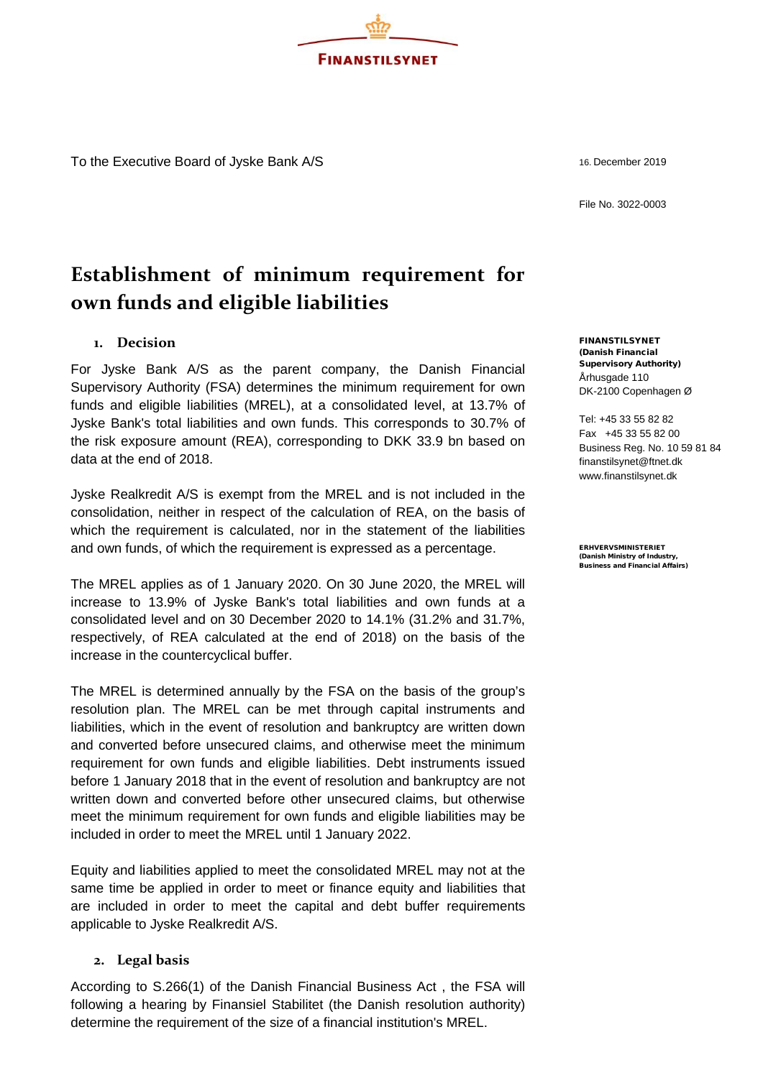To the Executive Board of Jyske Bank A/S

16. December 2019

File No. 3022-0003

# **Establishment of minimum requirement for own funds and eligible liabilities**

# **1. Decision**

For Jyske Bank A/S as the parent company, the Danish Financial Supervisory Authority (FSA) determines the minimum requirement for own funds and eligible liabilities (MREL), at a consolidated level, at 13.7% of Jyske Bank's total liabilities and own funds. This corresponds to 30.7% of the risk exposure amount (REA), corresponding to DKK 33.9 bn based on data at the end of 2018.

Jyske Realkredit A/S is exempt from the MREL and is not included in the consolidation, neither in respect of the calculation of REA, on the basis of which the requirement is calculated, nor in the statement of the liabilities and own funds, of which the requirement is expressed as a percentage.

The MREL applies as of 1 January 2020. On 30 June 2020, the MREL will increase to 13.9% of Jyske Bank's total liabilities and own funds at a consolidated level and on 30 December 2020 to 14.1% (31.2% and 31.7%, respectively, of REA calculated at the end of 2018) on the basis of the increase in the countercyclical buffer.

The MREL is determined annually by the FSA on the basis of the group's resolution plan. The MREL can be met through capital instruments and liabilities, which in the event of resolution and bankruptcy are written down and converted before unsecured claims, and otherwise meet the minimum requirement for own funds and eligible liabilities. Debt instruments issued before 1 January 2018 that in the event of resolution and bankruptcy are not written down and converted before other unsecured claims, but otherwise meet the minimum requirement for own funds and eligible liabilities may be included in order to meet the MREL until 1 January 2022.

Equity and liabilities applied to meet the consolidated MREL may not at the same time be applied in order to meet or finance equity and liabilities that are included in order to meet the capital and debt buffer requirements applicable to Jyske Realkredit A/S.

## **2. Legal basis**

According to S.266(1) of the Danish Financial Business Act , the FSA will following a hearing by Finansiel Stabilitet (the Danish resolution authority) determine the requirement of the size of a financial institution's MREL.

FINANSTILSYNET (Danish Financial Supervisory Authority) Århusgade 110 DK-2100 Copenhagen Ø

Tel: +45 33 55 82 82 Fax +45 33 55 82 00 Business Reg. No. 10 59 81 84 [finanstilsynet@ftnet.dk](mailto:finanstilsynet@ftnet.dk) [www.finanstilsynet.dk](http://www.finanstilsynet.dk/)

ERHVERVSMINISTERIET (Danish Ministry of Industry, Business and Financial Affairs)

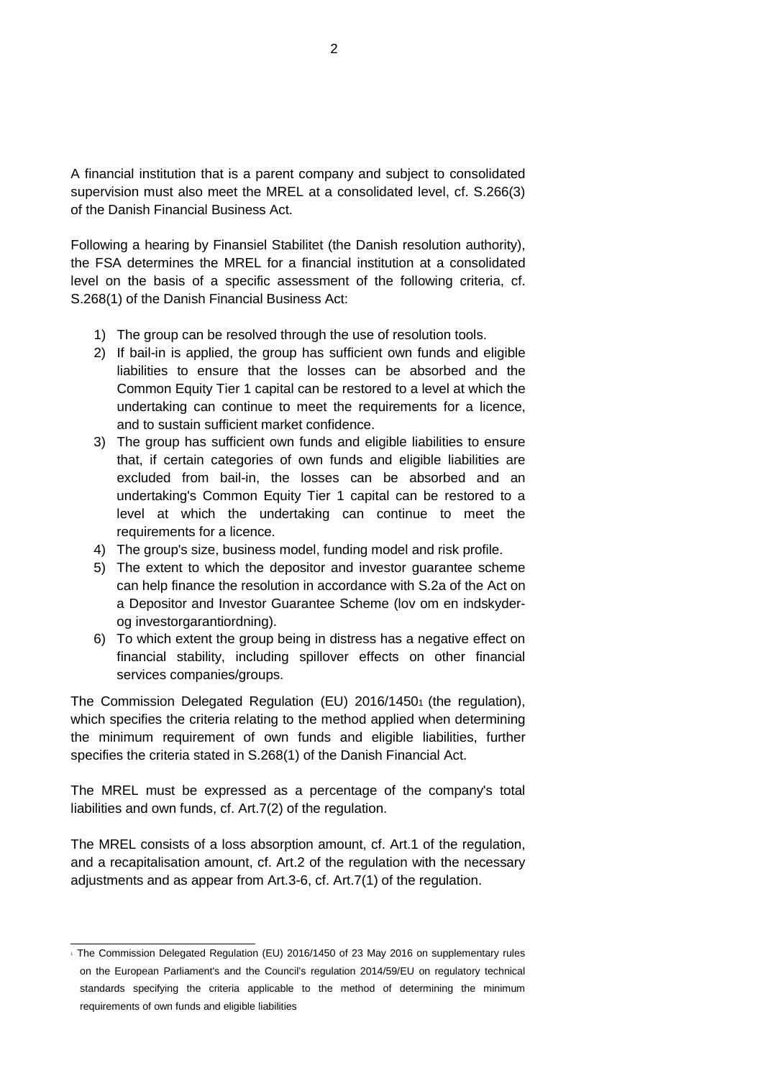A financial institution that is a parent company and subject to consolidated supervision must also meet the MREL at a consolidated level, cf. S.266(3) of the Danish Financial Business Act.

Following a hearing by Finansiel Stabilitet (the Danish resolution authority), the FSA determines the MREL for a financial institution at a consolidated level on the basis of a specific assessment of the following criteria, cf. S.268(1) of the Danish Financial Business Act:

- 1) The group can be resolved through the use of resolution tools.
- 2) If bail-in is applied, the group has sufficient own funds and eligible liabilities to ensure that the losses can be absorbed and the Common Equity Tier 1 capital can be restored to a level at which the undertaking can continue to meet the requirements for a licence, and to sustain sufficient market confidence.
- 3) The group has sufficient own funds and eligible liabilities to ensure that, if certain categories of own funds and eligible liabilities are excluded from bail-in, the losses can be absorbed and an undertaking's Common Equity Tier 1 capital can be restored to a level at which the undertaking can continue to meet the requirements for a licence.
- 4) The group's size, business model, funding model and risk profile.
- 5) The extent to which the depositor and investor guarantee scheme can help finance the resolution in accordance with S.2a of the Act on a Depositor and Investor Guarantee Scheme (lov om en indskyderog investorgarantiordning).
- 6) To which extent the group being in distress has a negative effect on financial stability, including spillover effects on other financial services companies/groups.

The Commission Delegated Regulation (EU) 2016/14501 (the regulation), which specifies the criteria relating to the method applied when determining the minimum requirement of own funds and eligible liabilities, further specifies the criteria stated in S.268(1) of the Danish Financial Act.

The MREL must be expressed as a percentage of the company's total liabilities and own funds, cf. Art.7(2) of the regulation.

The MREL consists of a loss absorption amount, cf. Art.1 of the regulation, and a recapitalisation amount, cf. Art.2 of the regulation with the necessary adjustments and as appear from Art.3-6, cf. Art.7(1) of the regulation.

<sup>1</sup> The Commission Delegated Regulation (EU) 2016/1450 of 23 May 2016 on supplementary rules on the European Parliament's and the Council's regulation 2014/59/EU on regulatory technical standards specifying the criteria applicable to the method of determining the minimum requirements of own funds and eligible liabilities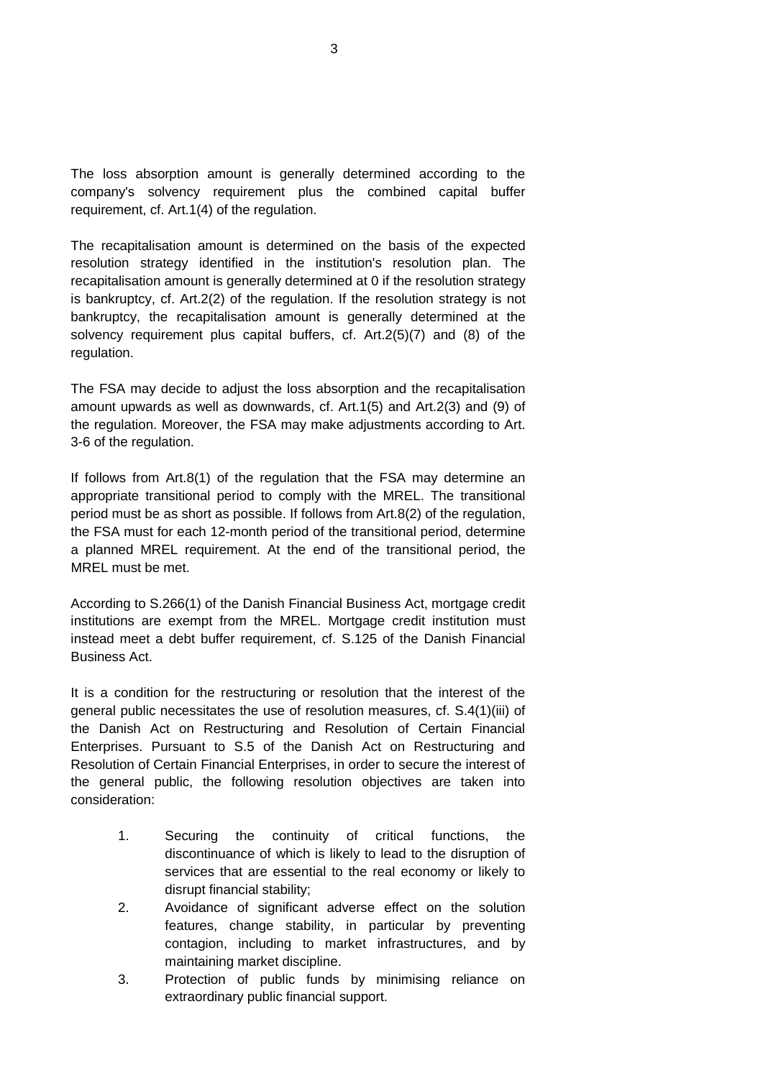The loss absorption amount is generally determined according to the company's solvency requirement plus the combined capital buffer requirement, cf. Art.1(4) of the regulation.

The recapitalisation amount is determined on the basis of the expected resolution strategy identified in the institution's resolution plan. The recapitalisation amount is generally determined at 0 if the resolution strategy is bankruptcy, cf. Art.2(2) of the regulation. If the resolution strategy is not bankruptcy, the recapitalisation amount is generally determined at the solvency requirement plus capital buffers, cf. Art.2(5)(7) and (8) of the regulation.

The FSA may decide to adjust the loss absorption and the recapitalisation amount upwards as well as downwards, cf. Art.1(5) and Art.2(3) and (9) of the regulation. Moreover, the FSA may make adjustments according to Art. 3-6 of the regulation.

If follows from Art.8(1) of the regulation that the FSA may determine an appropriate transitional period to comply with the MREL. The transitional period must be as short as possible. If follows from Art.8(2) of the regulation, the FSA must for each 12-month period of the transitional period, determine a planned MREL requirement. At the end of the transitional period, the MREL must be met.

According to S.266(1) of the Danish Financial Business Act, mortgage credit institutions are exempt from the MREL. Mortgage credit institution must instead meet a debt buffer requirement, cf. S.125 of the Danish Financial Business Act.

It is a condition for the restructuring or resolution that the interest of the general public necessitates the use of resolution measures, cf. S.4(1)(iii) of the Danish Act on Restructuring and Resolution of Certain Financial Enterprises. Pursuant to S.5 of the Danish Act on Restructuring and Resolution of Certain Financial Enterprises, in order to secure the interest of the general public, the following resolution objectives are taken into consideration:

- 1. Securing the continuity of critical functions, the discontinuance of which is likely to lead to the disruption of services that are essential to the real economy or likely to disrupt financial stability;
- 2. Avoidance of significant adverse effect on the solution features, change stability, in particular by preventing contagion, including to market infrastructures, and by maintaining market discipline.
- 3. Protection of public funds by minimising reliance on extraordinary public financial support.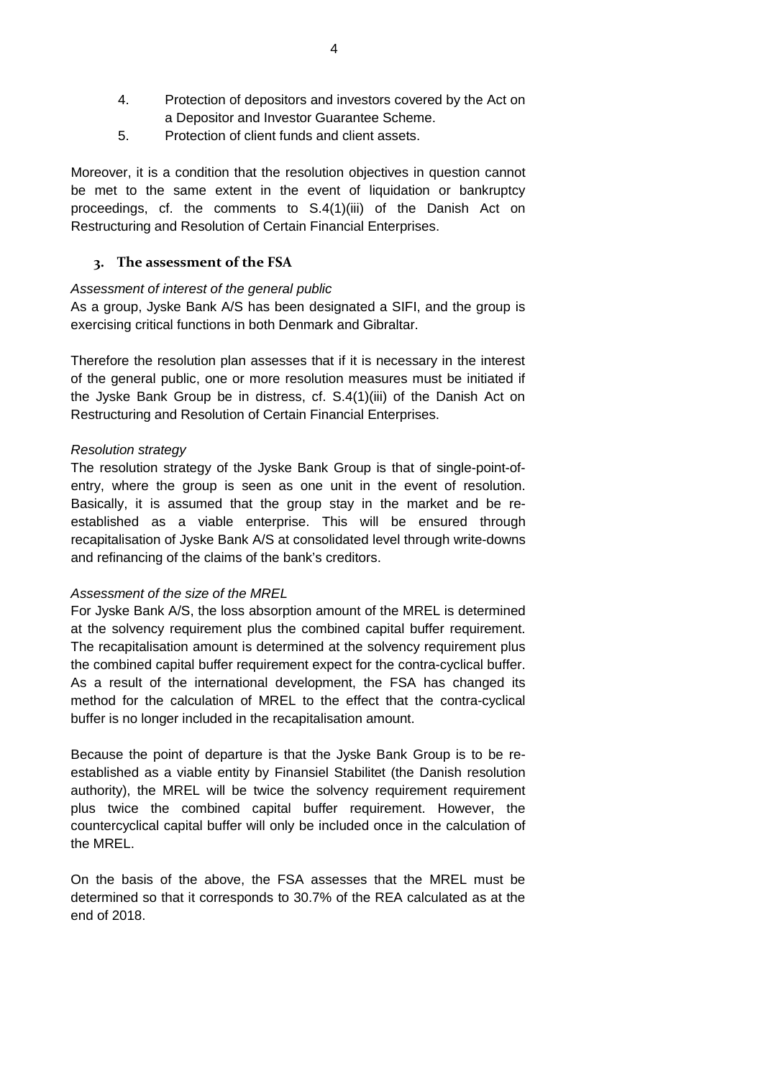- 4. Protection of depositors and investors covered by the Act on a Depositor and Investor Guarantee Scheme.
- 5. Protection of client funds and client assets.

Moreover, it is a condition that the resolution objectives in question cannot be met to the same extent in the event of liquidation or bankruptcy proceedings, cf. the comments to S.4(1)(iii) of the Danish Act on Restructuring and Resolution of Certain Financial Enterprises.

## **3. The assessment of the FSA**

#### *Assessment of interest of the general public*

As a group, Jyske Bank A/S has been designated a SIFI, and the group is exercising critical functions in both Denmark and Gibraltar.

Therefore the resolution plan assesses that if it is necessary in the interest of the general public, one or more resolution measures must be initiated if the Jyske Bank Group be in distress, cf. S.4(1)(iii) of the Danish Act on Restructuring and Resolution of Certain Financial Enterprises.

#### *Resolution strategy*

The resolution strategy of the Jyske Bank Group is that of single-point-ofentry, where the group is seen as one unit in the event of resolution. Basically, it is assumed that the group stay in the market and be reestablished as a viable enterprise. This will be ensured through recapitalisation of Jyske Bank A/S at consolidated level through write-downs and refinancing of the claims of the bank's creditors.

## *Assessment of the size of the MREL*

For Jyske Bank A/S, the loss absorption amount of the MREL is determined at the solvency requirement plus the combined capital buffer requirement. The recapitalisation amount is determined at the solvency requirement plus the combined capital buffer requirement expect for the contra-cyclical buffer. As a result of the international development, the FSA has changed its method for the calculation of MREL to the effect that the contra-cyclical buffer is no longer included in the recapitalisation amount.

Because the point of departure is that the Jyske Bank Group is to be reestablished as a viable entity by Finansiel Stabilitet (the Danish resolution authority), the MREL will be twice the solvency requirement requirement plus twice the combined capital buffer requirement. However, the countercyclical capital buffer will only be included once in the calculation of the MREL.

On the basis of the above, the FSA assesses that the MREL must be determined so that it corresponds to 30.7% of the REA calculated as at the end of 2018.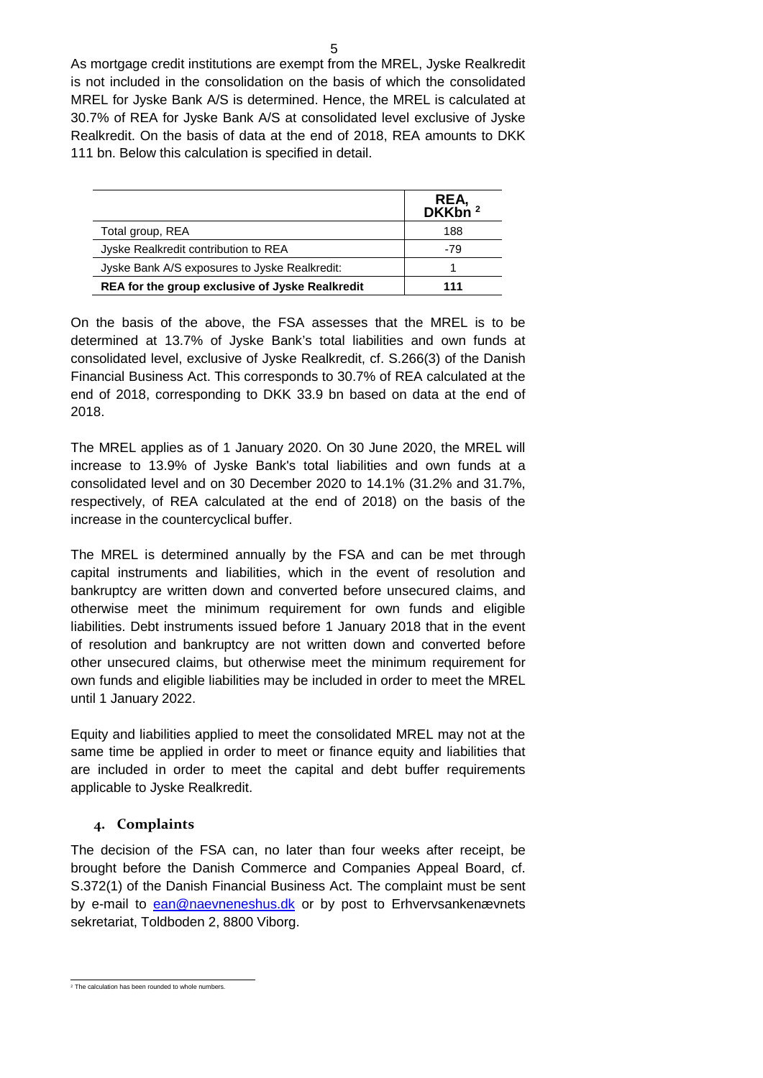As mortgage credit institutions are exempt from the MREL, Jyske Realkredit is not included in the consolidation on the basis of which the consolidated MREL for Jyske Bank A/S is determined. Hence, the MREL is calculated at 30.7% of REA for Jyske Bank A/S at consolidated level exclusive of Jyske Realkredit. On the basis of data at the end of 2018, REA amounts to DKK 111 bn. Below this calculation is specified in detail.

|                                                 | REA,<br>DKKbn $^2$ |
|-------------------------------------------------|--------------------|
| Total group, REA                                | 188                |
| Jyske Realkredit contribution to REA            | -79                |
| Jyske Bank A/S exposures to Jyske Realkredit:   |                    |
| REA for the group exclusive of Jyske Realkredit | 111                |

On the basis of the above, the FSA assesses that the MREL is to be determined at 13.7% of Jyske Bank's total liabilities and own funds at consolidated level, exclusive of Jyske Realkredit, cf. S.266(3) of the Danish Financial Business Act. This corresponds to 30.7% of REA calculated at the end of 2018, corresponding to DKK 33.9 bn based on data at the end of 2018.

The MREL applies as of 1 January 2020. On 30 June 2020, the MREL will increase to 13.9% of Jyske Bank's total liabilities and own funds at a consolidated level and on 30 December 2020 to 14.1% (31.2% and 31.7%, respectively, of REA calculated at the end of 2018) on the basis of the increase in the countercyclical buffer.

The MREL is determined annually by the FSA and can be met through capital instruments and liabilities, which in the event of resolution and bankruptcy are written down and converted before unsecured claims, and otherwise meet the minimum requirement for own funds and eligible liabilities. Debt instruments issued before 1 January 2018 that in the event of resolution and bankruptcy are not written down and converted before other unsecured claims, but otherwise meet the minimum requirement for own funds and eligible liabilities may be included in order to meet the MREL until 1 January 2022.

Equity and liabilities applied to meet the consolidated MREL may not at the same time be applied in order to meet or finance equity and liabilities that are included in order to meet the capital and debt buffer requirements applicable to Jyske Realkredit.

# **4. Complaints**

The decision of the FSA can, no later than four weeks after receipt, be brought before the Danish Commerce and Companies Appeal Board, cf. S.372(1) of the Danish Financial Business Act. The complaint must be sent by e-mail to [ean@naevneneshus.dk](mailto:ean@naevneneshus.dk) or by post to Erhvervsankenævnets sekretariat, Toldboden 2, 8800 Viborg.

<sup>&</sup>lt;sup>2</sup> The calculation has been rounded to whole numbers.